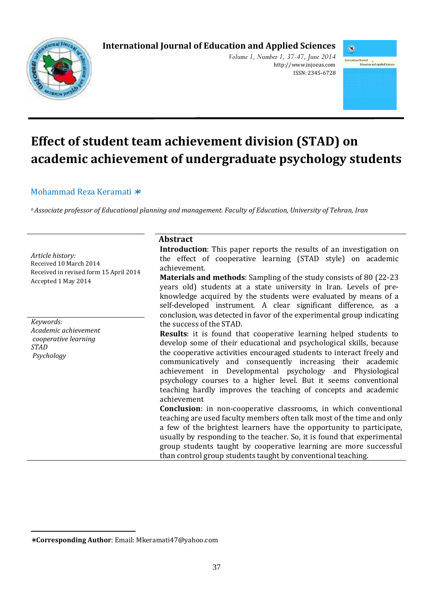# **International Journal of Education and Applied Sciences**



*Volume 1, Number 1, 37-47, June 2014*  http://www.injoeas.com ISSN: 2345-6728



# **Effect of student team achievement division (STAD) on academic achievement of undergraduate psychology students**

### Mohammad Reza Keramati ∗<sup>a</sup>

*<sup>a</sup>Associate professor of Educational planning and management. Faculty of Education, University of Tehran, Iran* 

*Article history:*  Received 10 March 2014 Received in revised form 15 April 2014 Accepted 1 May 2014

*Keywords: Academic achievement cooperative learning STAD Psychology* 

 $\overline{a}$ 

#### **Abstract**

**Introduction**: This paper reports the results of an investigation on the effect of cooperative learning (STAD style) on academic achievement.

**Materials and methods**: Sampling of the study consists of 80 (22-23 years old) students at a state university in Iran. Levels of preknowledge acquired by the students were evaluated by means of a self-developed instrument. A clear significant difference, as a conclusion, was detected in favor of the experimental group indicating the success of the STAD.

**Results**: it is found that cooperative learning helped students to develop some of their educational and psychological skills, because the cooperative activities encouraged students to interact freely and communicatively and consequently increasing their academic achievement in Developmental psychology and Physiological psychology courses to a higher level. But it seems conventional teaching hardly improves the teaching of concepts and academic achievement

**Conclusion**: in non-cooperative classrooms, in which conventional teaching are used faculty members often talk most of the time and only a few of the brightest learners have the opportunity to participate, usually by responding to the teacher. So, it is found that experimental group students taught by cooperative learning are more successful than control group students taught by conventional teaching.

<sup>∗</sup> **Corresponding Author**: Email: Mkeramati47@yahoo.com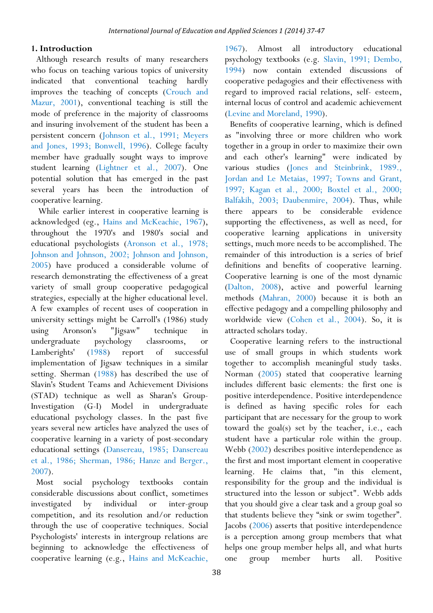#### **1. Introduction**

Although research results of many researchers who focus on teaching various topics of university indicated that conventional teaching hardly improves the teaching of concepts (Crouch and Mazur, 2001), conventional teaching is still the mode of preference in the majority of classrooms and insuring involvement of the student has been a persistent concern (Johnson et al., 1991; Meyers and Jones, 1993; Bonwell, 1996). College faculty member have gradually sought ways to improve student learning (Lightner et al., 2007). One potential solution that has emerged in the past several years has been the introduction of cooperative learning.

 While earlier interest in cooperative learning is acknowledged (eg., Hains and McKeachie, 1967), throughout the 1970's and 1980's social and educational psychologists (Aronson et al., 1978; Johnson and Johnson, 2002; Johnson and Johnson, 2005) have produced a considerable volume of research demonstrating the effectiveness of a great variety of small group cooperative pedagogical strategies, especially at the higher educational level. A few examples of recent uses of cooperation in university settings might be Carroll's (1986) study using Aronson's "Jigsaw" technique in undergraduate psychology classrooms, or Lamberights' (1988) report of successful implementation of Jigsaw techniques in a similar setting. Sherman (1988) has described the use of Slavin's Student Teams and Achievement Divisions (STAD) technique as well as Sharan's Group-Investigation (G-I) Model in undergraduate educational psychology classes. In the past five years several new articles have analyzed the uses of cooperative learning in a variety of post-secondary educational settings (Dansereau, 1985; Dansereau et al., 1986; Sherman, 1986; Hanze and Berger., 2007).

Most social psychology textbooks contain considerable discussions about conflict, sometimes investigated by individual or inter-group competition, and its resolution and/or reduction through the use of cooperative techniques. Social Psychologists' interests in intergroup relations are beginning to acknowledge the effectiveness of cooperative learning (e.g., Hains and McKeachie,

1967). Almost all introductory educational psychology textbooks (e.g. Slavin, 1991; Dembo, 1994) now contain extended discussions of cooperative pedagogies and their effectiveness with regard to improved racial relations, self- esteem, internal locus of control and academic achievement (Levine and Moreland, 1990).

Benefits of cooperative learning, which is defined as "involving three or more children who work together in a group in order to maximize their own and each other's learning" were indicated by various studies (Jones and Steinbrink, 1989., Jordan and Le Metaias, 1997; Towns and Grant, 1997; Kagan et al., 2000; Boxtel et al., 2000; Balfakih, 2003; Daubenmire, 2004). Thus, while there appears to be considerable evidence supporting the effectiveness, as well as need, for cooperative learning applications in university settings, much more needs to be accomplished. The remainder of this introduction is a series of brief definitions and benefits of cooperative learning. Cooperative learning is one of the most dynamic (Dalton, 2008), active and powerful learning methods (Mahran, 2000) because it is both an effective pedagogy and a compelling philosophy and worldwide view (Cohen et al., 2004). So, it is attracted scholars today.

Cooperative learning refers to the instructional use of small groups in which students work together to accomplish meaningful study tasks. Norman (2005) stated that cooperative learning includes different basic elements: the first one is positive interdependence. Positive interdependence is defined as having specific roles for each participant that are necessary for the group to work toward the goal(s) set by the teacher, i.e., each student have a particular role within the group. Webb (2002) describes positive interdependence as the first and most important element in cooperative learning. He claims that, "in this element, responsibility for the group and the individual is structured into the lesson or subject". Webb adds that you should give a clear task and a group goal so that students believe they "sink or swim together". Jacobs (2006) asserts that positive interdependence is a perception among group members that what helps one group member helps all, and what hurts one group member hurts all. Positive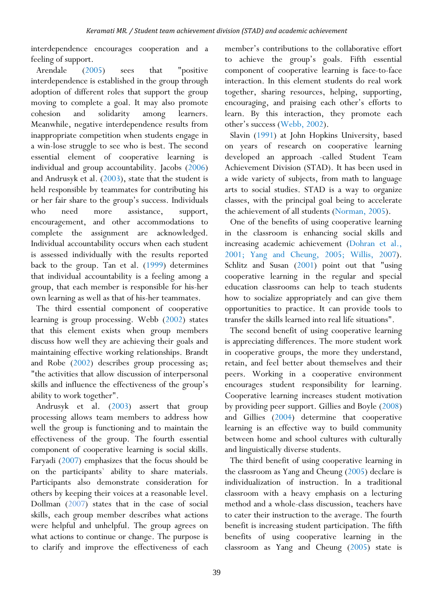interdependence encourages cooperation and a feeling of support.

Arendale (2005) sees that "positive interdependence is established in the group through adoption of different roles that support the group moving to complete a goal. It may also promote cohesion and solidarity among learners. Meanwhile, negative interdependence results from inappropriate competition when students engage in a win-lose struggle to see who is best. The second essential element of cooperative learning is individual and group accountability. Jacobs (2006) and Andrusyk et al. (2003), state that the student is held responsible by teammates for contributing his or her fair share to the group's success. Individuals who need more assistance, support, encouragement, and other accommodations to complete the assignment are acknowledged. Individual accountability occurs when each student is assessed individually with the results reported back to the group. Tan et al. (1999) determines that individual accountability is a feeling among a group, that each member is responsible for his-her own learning as well as that of his-her teammates.

The third essential component of cooperative learning is group processing. Webb (2002) states that this element exists when group members discuss how well they are achieving their goals and maintaining effective working relationships. Brandt and Robe (2002) describes group processing as; "the activities that allow discussion of interpersonal skills and influence the effectiveness of the group's ability to work together".

Andrusyk et al. (2003) assert that group processing allows team members to address how well the group is functioning and to maintain the effectiveness of the group. The fourth essential component of cooperative learning is social skills. Faryadi (2007) emphasizes that the focus should be on the participants` ability to share materials. Participants also demonstrate consideration for others by keeping their voices at a reasonable level. Dollman (2007) states that in the case of social skills, each group member describes what actions were helpful and unhelpful. The group agrees on what actions to continue or change. The purpose is to clarify and improve the effectiveness of each

member's contributions to the collaborative effort to achieve the group's goals. Fifth essential component of cooperative learning is face-to-face interaction. In this element students do real work together, sharing resources, helping, supporting, encouraging, and praising each other's efforts to learn. By this interaction, they promote each other's success (Webb, 2002).

Slavin (1991) at John Hopkins University, based on years of research on cooperative learning developed an approach -called Student Team Achievement Division (STAD). It has been used in a wide variety of subjects, from math to language arts to social studies. STAD is a way to organize classes, with the principal goal being to accelerate the achievement of all students (Norman, 2005).

One of the benefits of using cooperative learning in the classroom is enhancing social skills and increasing academic achievement (Dohran et al., 2001; Yang and Cheung, 2005; Willis, 2007). Schlitz and Susan (2001) point out that "using cooperative learning in the regular and special education classrooms can help to teach students how to socialize appropriately and can give them opportunities to practice. It can provide tools to transfer the skills learned into real life situations".

The second benefit of using cooperative learning is appreciating differences. The more student work in cooperative groups, the more they understand, retain, and feel better about themselves and their peers. Working in a cooperative environment encourages student responsibility for learning. Cooperative learning increases student motivation by providing peer support. Gillies and Boyle (2008) and Gillies (2004) determine that cooperative learning is an effective way to build community between home and school cultures with culturally and linguistically diverse students.

The third benefit of using cooperative learning in the classroom as Yang and Cheung (2005) declare is individualization of instruction. In a traditional classroom with a heavy emphasis on a lecturing method and a whole-class discussion, teachers have to cater their instruction to the average. The fourth benefit is increasing student participation. The fifth benefits of using cooperative learning in the classroom as Yang and Cheung (2005) state is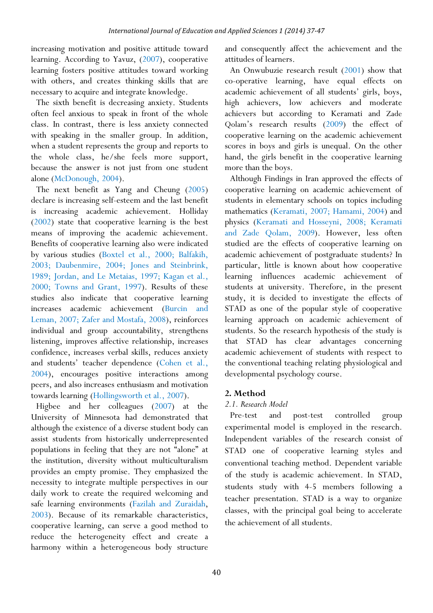increasing motivation and positive attitude toward learning. According to Yavuz, (2007), cooperative learning fosters positive attitudes toward working with others, and creates thinking skills that are necessary to acquire and integrate knowledge.

The sixth benefit is decreasing anxiety. Students often feel anxious to speak in front of the whole class. In contrast, there is less anxiety connected with speaking in the smaller group. In addition, when a student represents the group and reports to the whole class, he/she feels more support, because the answer is not just from one student alone (McDonough, 2004).

The next benefit as Yang and Cheung (2005) declare is increasing self-esteem and the last benefit is increasing academic achievement. Holliday (2002) state that cooperative learning is the best means of improving the academic achievement. Benefits of cooperative learning also were indicated by various studies (Boxtel et al., 2000; Balfakih, 2003; Daubenmire, 2004; Jones and Steinbrink, 1989; Jordan, and Le Metaias, 1997; Kagan et al., 2000; Towns and Grant, 1997). Results of these studies also indicate that cooperative learning increases academic achievement (Burcin and Leman, 2007; Zafer and Mostafa, 2008), reinforces individual and group accountability, strengthens listening, improves affective relationship, increases confidence, increases verbal skills, reduces anxiety and students' teacher dependence (Cohen et al., 2004), encourages positive interactions among peers, and also increases enthusiasm and motivation towards learning (Hollingsworth et al., 2007).

Higbee and her colleagues (2007) at the University of Minnesota had demonstrated that although the existence of a diverse student body can assist students from historically underrepresented populations in feeling that they are not "alone" at the institution, diversity without multiculturalism provides an empty promise. They emphasized the necessity to integrate multiple perspectives in our daily work to create the required welcoming and safe learning environments (Fazilah and Zuraidah, 2003). Because of its remarkable characteristics, cooperative learning, can serve a good method to reduce the heterogeneity effect and create a harmony within a heterogeneous body structure

and consequently affect the achievement and the attitudes of learners.

An Onwubuzie research result (2001) show that co-operative learning, have equal effects on academic achievement of all students' girls, boys, high achievers, low achievers and moderate achievers but according to Keramati and Zade Qolam's research results (2009) the effect of cooperative learning on the academic achievement scores in boys and girls is unequal. On the other hand, the girls benefit in the cooperative learning more than the boys.

Although Findings in Iran approved the effects of cooperative learning on academic achievement of students in elementary schools on topics including mathematics (Keramati, 2007; Hamami, 2004) and physics (Keramati and Hosseyni, 2008; Keramati and Zade Qolam, 2009). However, less often studied are the effects of cooperative learning on academic achievement of postgraduate students? In particular, little is known about how cooperative learning influences academic achievement of students at university. Therefore, in the present study, it is decided to investigate the effects of STAD as one of the popular style of cooperative learning approach on academic achievement of students. So the research hypothesis of the study is that STAD has clear advantages concerning academic achievement of students with respect to the conventional teaching relating physiological and developmental psychology course.

## **2. Method**

## *2.1. Research Model*

Pre-test and post-test controlled group experimental model is employed in the research. Independent variables of the research consist of STAD one of cooperative learning styles and conventional teaching method. Dependent variable of the study is academic achievement. In STAD, students study with 4-5 members following a teacher presentation. STAD is a way to organize classes, with the principal goal being to accelerate the achievement of all students.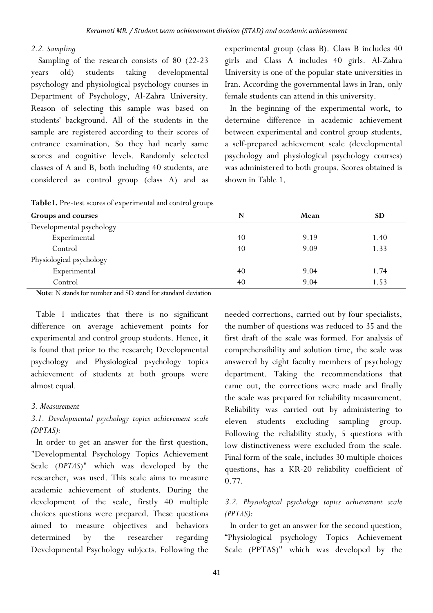### *2.2. Sampling*

 Sampling of the research consists of 80 (22-23 years old) students taking developmental psychology and physiological psychology courses in Department of Psychology, Al-Zahra University. Reason of selecting this sample was based on students' background. All of the students in the sample are registered according to their scores of entrance examination. So they had nearly same scores and cognitive levels. Randomly selected classes of A and B, both including 40 students, are considered as control group (class A) and as

|  |  | Table1. Pre-test scores of experimental and control groups |  |  |  |
|--|--|------------------------------------------------------------|--|--|--|
|--|--|------------------------------------------------------------|--|--|--|

experimental group (class B). Class B includes 40 girls and Class A includes 40 girls. Al-Zahra University is one of the popular state universities in Iran. According the governmental laws in Iran, only female students can attend in this university.

In the beginning of the experimental work, to determine difference in academic achievement between experimental and control group students, a self-prepared achievement scale (developmental psychology and physiological psychology courses) was administered to both groups. Scores obtained is shown in Table 1.

| <b>Groups and courses</b> | N  | Mean | <b>SD</b> |
|---------------------------|----|------|-----------|
| Developmental psychology  |    |      |           |
| Experimental              | 40 | 9.19 |           |
| Control                   | 40 | 9.09 | 1.33      |
| Physiological psychology  |    |      |           |
| Experimental              | 40 | 9.04 | 1.74      |
| Control                   | 40 | 9.04 | 1.53      |

**Note**: N stands for number and SD stand for standard deviation

Table 1 indicates that there is no significant difference on average achievement points for experimental and control group students. Hence, it is found that prior to the research; Developmental psychology and Physiological psychology topics achievement of students at both groups were almost equal.

## *3. Measurement*

# *3.1. Developmental psychology topics achievement scale (DPTAS):*

In order to get an answer for the first question, "Developmental Psychology Topics Achievement Scale (*DPTAS*)" which was developed by the researcher, was used. This scale aims to measure academic achievement of students. During the development of the scale, firstly 40 multiple choices questions were prepared. These questions aimed to measure objectives and behaviors determined by the researcher regarding Developmental Psychology subjects. Following the needed corrections, carried out by four specialists, the number of questions was reduced to 35 and the first draft of the scale was formed. For analysis of comprehensibility and solution time, the scale was answered by eight faculty members of psychology department. Taking the recommendations that came out, the corrections were made and finally the scale was prepared for reliability measurement. Reliability was carried out by administering to eleven students excluding sampling group. Following the reliability study, 5 questions with low distinctiveness were excluded from the scale. Final form of the scale, includes 30 multiple choices questions, has a KR-20 reliability coefficient of 0.77.

## *3.2. Physiological psychology topics achievement scale (PPTAS):*

In order to get an answer for the second question, "Physiological psychology Topics Achievement Scale (PPTAS)" which was developed by the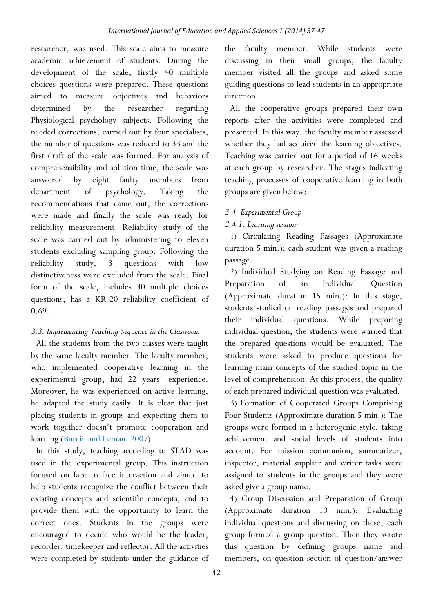researcher, was used. This scale aims to measure academic achievement of students. During the development of the scale, firstly 40 multiple choices questions were prepared. These questions aimed to measure objectives and behaviors determined by the researcher regarding Physiological psychology subjects. Following the needed corrections, carried out by four specialists, the number of questions was reduced to 33 and the first draft of the scale was formed. For analysis of comprehensibility and solution time, the scale was answered by eight faulty members from department of psychology. Taking the recommendations that came out, the corrections were made and finally the scale was ready for reliability measurement. Reliability study of the scale was carried out by administering to eleven students excluding sampling group. Following the reliability study, 3 questions with low distinctiveness were excluded from the scale. Final form of the scale, includes 30 multiple choices questions, has a KR-20 reliability coefficient of 0.69.

# *3.3. Implementing Teaching Sequence in the Classroom*

All the students from the two classes were taught by the same faculty member. The faculty member, who implemented cooperative learning in the experimental group, had 22 years' experience. Moreover, he was experienced on active learning, he adapted the study easily. It is clear that just placing students in groups and expecting them to work together doesn't promote cooperation and learning (Burcin and Leman, 2007).

In this study, teaching according to STAD was used in the experimental group. This instruction focused on face to face interaction and aimed to help students recognize the conflict between their existing concepts and scientific concepts, and to provide them with the opportunity to learn the correct ones. Students in the groups were encouraged to decide who would be the leader, recorder, timekeeper and reflector. All the activities were completed by students under the guidance of the faculty member. While students were discussing in their small groups, the faculty member visited all the groups and asked some guiding questions to lead students in an appropriate direction.

All the cooperative groups prepared their own reports after the activities were completed and presented. In this way, the faculty member assessed whether they had acquired the learning objectives. Teaching was carried out for a period of 16 weeks at each group by researcher. The stages indicating teaching processes of cooperative learning in both groups are given below:

## *3.4. Experimental Group*

# *3.4.1. Learning session:*

1) Circulating Reading Passages (Approximate duration 5 min.): each student was given a reading passage.

2) Individual Studying on Reading Passage and Preparation of an Individual Question (Approximate duration 15 min.): In this stage, students studied on reading passages and prepared their individual questions. While preparing individual question, the students were warned that the prepared questions would be evaluated. The students were asked to produce questions for learning main concepts of the studied topic in the level of comprehension. At this process, the quality of each prepared individual question was evaluated.

3) Formation of Cooperated Groups Comprising Four Students (Approximate duration 5 min.): The groups were formed in a heterogenic style, taking achievement and social levels of students into account. For mission communion, summarizer, inspector, material supplier and writer tasks were assigned to students in the groups and they were asked give a group name.

4) Group Discussion and Preparation of Group (Approximate duration 10 min.): Evaluating individual questions and discussing on these, each group formed a group question. Then they wrote this question by defining groups name and members, on question section of question/answer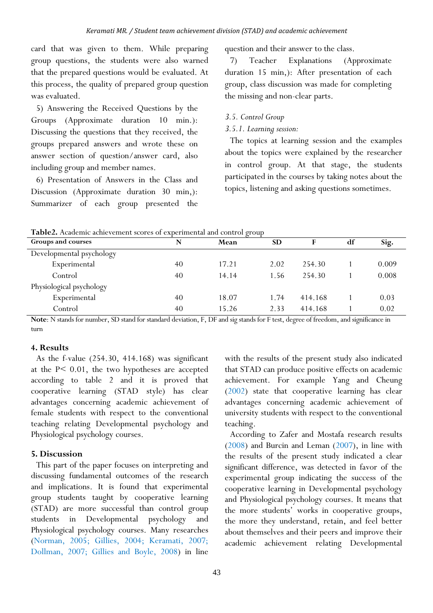card that was given to them. While preparing group questions, the students were also warned that the prepared questions would be evaluated. At this process, the quality of prepared group question was evaluated.

5) Answering the Received Questions by the Groups (Approximate duration 10 min.): Discussing the questions that they received, the groups prepared answers and wrote these on answer section of question/answer card, also including group and member names.

6) Presentation of Answers in the Class and Discussion (Approximate duration 30 min,): Summarizer of each group presented the

question and their answer to the class.

7) Teacher Explanations (Approximate duration 15 min,): After presentation of each group, class discussion was made for completing the missing and non-clear parts.

- *3.5. Control Group*
- *3.5.1. Learning session:*

The topics at learning session and the examples about the topics were explained by the researcher in control group. At that stage, the students participated in the courses by taking notes about the topics, listening and asking questions sometimes.

| Groups and courses       | N  | Mean  | <b>SD</b> |         | df | Sig.  |
|--------------------------|----|-------|-----------|---------|----|-------|
| Developmental psychology |    |       |           |         |    |       |
| Experimental             | 40 | 17.21 | 2.02      | 254.30  |    | 0.009 |
| Control                  | 40 | 14.14 | 1.56      | 254.30  |    | 0.008 |
| Physiological psychology |    |       |           |         |    |       |
| Experimental             | 40 | 18.07 | 1.74      | 414.168 |    | 0.03  |
| Control                  | 40 | 15.26 | 2.33      | 414.168 |    | 0.02  |

**Table2.** Academic achievement scores of experimental and control group

**Note**: N stands for number, SD stand for standard deviation, F, DF and sig stands for F test, degree of freedom, and significance in turn

#### **4. Results**

As the f-value (254.30, 414.168) was significant at the P< 0.01, the two hypotheses are accepted according to table 2 and it is proved that cooperative learning (STAD style) has clear advantages concerning academic achievement of female students with respect to the conventional teaching relating Developmental psychology and Physiological psychology courses.

#### **5. Discussion**

This part of the paper focuses on interpreting and discussing fundamental outcomes of the research and implications. It is found that experimental group students taught by cooperative learning (STAD) are more successful than control group students in Developmental psychology and Physiological psychology courses. Many researches (Norman, 2005; Gillies, 2004; Keramati, 2007; Dollman, 2007; Gillies and Boyle, 2008) in line

with the results of the present study also indicated that STAD can produce positive effects on academic achievement. For example Yang and Cheung (2002) state that cooperative learning has clear advantages concerning academic achievement of university students with respect to the conventional teaching.

According to Zafer and Mostafa research results (2008) and Burcin and Leman (2007), in line with the results of the present study indicated a clear significant difference, was detected in favor of the experimental group indicating the success of the cooperative learning in Developmental psychology and Physiological psychology courses. It means that the more students' works in cooperative groups, the more they understand, retain, and feel better about themselves and their peers and improve their academic achievement relating Developmental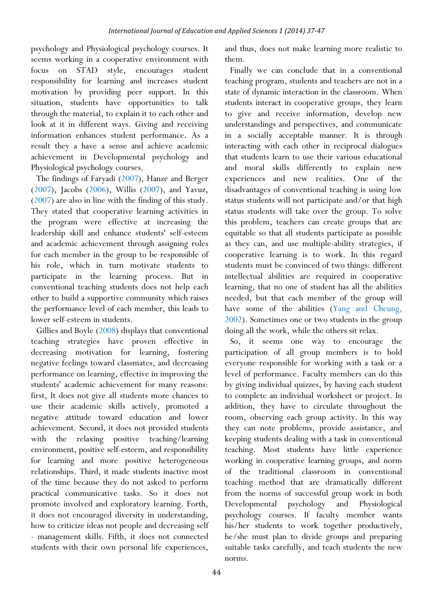psychology and Physiological psychology courses. It seems working in a cooperative environment with focus on STAD style, encourages student responsibility for learning and increases student motivation by providing peer support. In this situation, students have opportunities to talk through the material, to explain it to each other and look at it in different ways. Giving and receiving information enhances student performance. As a result they a have a sense and achieve academic achievement in Developmental psychology and Physiological psychology courses.

The findings of Faryadi (2007), Hanze and Berger (2007), Jacobs (2006), Willis (2007), and Yavuz, (2007) are also in line with the finding of this study. They stated that cooperative learning activities in the program were effective at increasing the leadership skill and enhance students' self-esteem and academic achievement through assigning roles for each member in the group to be responsible of his role, which in turn motivate students to participate in the learning process. But in conventional teaching students does not help each other to build a supportive community which raises the performance level of each member, this leads to lower self-esteem in students.

Gillies and Boyle (2008) displays that conventional teaching strategies have proven effective in decreasing motivation for learning, fostering negative feelings toward classmates, and decreasing performance on learning, effective in improving the students' academic achievement for many reasons: first, It does not give all students more chances to use their academic skills actively, promoted a negative attitude toward education and lower achievement. Second, it does not provided students with the relaxing positive teaching/learning environment, positive self-esteem, and responsibility for learning and more positive heterogeneous relationships. Third, it made students inactive most of the time because they do not asked to perform practical communicative tasks. So it does not promote involved and exploratory learning. Forth, it does not encouraged diversity in understanding, how to criticize ideas not people and decreasing self - management skills. Fifth, it does not connected students with their own personal life experiences,

and thus, does not make learning more realistic to them.

Finally we can conclude that in a conventional teaching program, students and teachers are not in a state of dynamic interaction in the classroom. When students interact in cooperative groups, they learn to give and receive information, develop new understandings and perspectives, and communicate in a socially acceptable manner. It is through interacting with each other in reciprocal dialogues that students learn to use their various educational and moral skills differently to explain new experiences and new realities. One of the disadvantages of conventional teaching is using low status students will not participate and/or that high status students will take over the group. To solve this problem, teachers can create groups that are equitable so that all students participate as possible as they can, and use multiple-ability strategies, if cooperative learning is to work. In this regard students must be convinced of two things: different intellectual abilities are required in cooperative learning, that no one of student has all the abilities needed, but that each member of the group will have some of the abilities (Yang and Cheung, 2002). Sometimes one or two students in the group doing all the work, while the others sit relax.

So, it seems one way to encourage the participation of all group members is to hold everyone responsible for working with a task or a level of performance. Faculty members can do this by giving individual quizzes, by having each student to complete an individual worksheet or project. In addition, they have to circulate throughout the room, observing each group activity. In this way they can note problems, provide assistance, and keeping students dealing with a task in conventional teaching. Most students have little experience working in cooperative learning groups, and norm of the traditional classroom in conventional teaching method that are dramatically different from the norms of successful group work in both Developmental psychology and Physiological psychology courses. If faculty member wants his/her students to work together productively, he/she must plan to divide groups and preparing suitable tasks carefully, and teach students the new norms.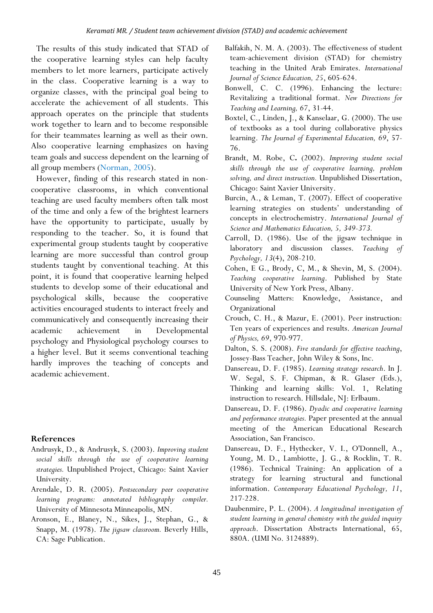The results of this study indicated that STAD of the cooperative learning styles can help faculty members to let more learners, participate actively in the class. Cooperative learning is a way to organize classes, with the principal goal being to accelerate the achievement of all students. This approach operates on the principle that students work together to learn and to become responsible for their teammates learning as well as their own. Also cooperative learning emphasizes on having team goals and success dependent on the learning of all group members (Norman, 2005).

However, finding of this research stated in noncooperative classrooms, in which conventional teaching are used faculty members often talk most of the time and only a few of the brightest learners have the opportunity to participate, usually by responding to the teacher. So, it is found that experimental group students taught by cooperative learning are more successful than control group students taught by conventional teaching. At this point, it is found that cooperative learning helped students to develop some of their educational and psychological skills, because the cooperative activities encouraged students to interact freely and communicatively and consequently increasing their academic achievement in Developmental psychology and Physiological psychology courses to a higher level. But it seems conventional teaching hardly improves the teaching of concepts and academic achievement.

#### **References**

- Andrusyk, D., & Andrusyk, S. (2003). *Improving student social skills through the use of cooperative learning strategies.* Unpublished Project, Chicago: Saint Xavier University.
- Arendale, D. R. (2005). *Postsecondary peer cooperative learning programs: annotated bibliography compiler.* University of Minnesota Minneapolis, MN.
- Aronson, E., Blaney, N., Sikes, J., Stephan, G., & Snapp, M. (1978). *The jigsaw classroom.* Beverly Hills, CA: Sage Publication.
- Balfakih, N. M. A. (2003). The effectiveness of student team-achievement division (STAD) for chemistry teaching in the United Arab Emirates. *International Journal of Science Education, 25*, 605-624.
- Bonwell, C. C. (1996). Enhancing the lecture: Revitalizing a traditional format. *New Directions for Teaching and Learning, 67*, 31-44.
- Boxtel, C., Linden, J., & Kanselaar, G. (2000). The use of textbooks as a tool during collaborative physics learning. *The Journal of Experimental Education, 69*, 57- 76.
- Brandt, M. Robe, C**.** (2002). *Improving student social skills through the use of cooperative learning, problem solving, and direct instruction.* Unpublished Dissertation, Chicago: Saint Xavier University.
- Burcin, A., & Leman, T. (2007). Effect of cooperative learning strategies on students' understanding of concepts in electrochemistry. *International Journal of Science and Mathematics Education, 5, 349-373.*
- Carroll, D. (1986). Use of the jigsaw technique in laboratory and discussion classes. *Teaching of Psychology, 13*(4), 208-210.
- Cohen, E G., Brody, C, M., & Shevin, M, S. (2004). *Teaching cooperative learning*. Published by State University of New York Press, Albany.
- Counseling Matters: Knowledge, Assistance, and Organizational
- Crouch, C. H., & Mazur, E. (2001). Peer instruction: Ten years of experiences and results. *American Journal of Physics, 69*, 970-977.
- Dalton, S. S. (2008). *Five standards for effective teaching*, Jossey-Bass Teacher, John Wiley & Sons, Inc.
- Dansereau, D. F. (1985). *Learning strategy research*. In J. W. Segal, S. F. Chipman, & R. Glaser (Eds.), Thinking and learning skills: Vol. 1, Relating instruction to research. Hillsdale, NJ: Erlbaum.
- Dansereau, D. F. (1986). *Dyadic and cooperative learning and performance strategies.* Paper presented at the annual meeting of the American Educational Research Association, San Francisco.
- Dansereau, D. F., Hythecker, V. I., O'Donnell, A., Young, M. D., Lambiotte, J. G., & Rocklin, T. R. (1986). Technical Training: An application of a strategy for learning structural and functional information. *Contemporary Educational Psychology, 11*, 217-228.
- Daubenmire, P. L. (2004). *A longitudinal investigation of student learning in general chemistry with the guided inquiry approach*. Dissertation Abstracts International, 65, 880A. (UMI No. 3124889).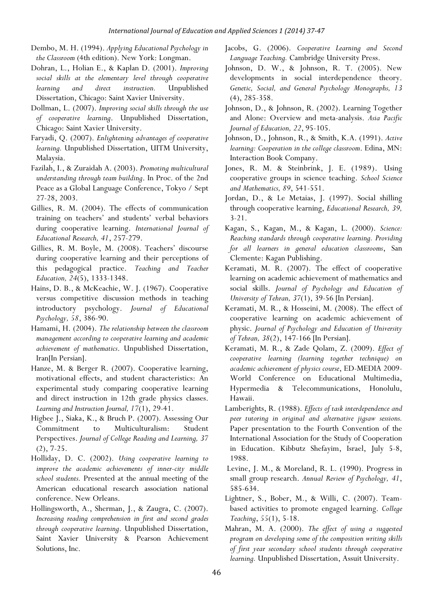- Dembo, M. H. (1994). *Applying Educational Psychology in the Classroom* (4th edition). New York: Longman.
- Dohran, L., Holian E., & Kaplan D. (2001). *Improving social skills at the elementary level through cooperative learning and direct instruction.* Unpublished Dissertation, Chicago: Saint Xavier University.
- Dollman, L. (2007). *Improving social skills through the use of cooperative learning*. Unpublished Dissertation, Chicago: Saint Xavier University.
- Faryadi, Q. (2007). *Enlightening advantages of cooperative learning.* Unpublished Dissertation, UITM University, Malaysia.
- Fazilah, I., & Zuraidah A. (2003). *Promoting multicultural understanding through team building*. In Proc. of the 2nd Peace as a Global Language Conference, Tokyo / Sept 27-28, 2003.
- Gillies, R. M. (2004). The effects of communication training on teachers' and students' verbal behaviors during cooperative learning. *International Journal of Educational Research, 41*, 257-279.
- Gillies, R. M. Boyle, M. (2008). Teachers' discourse during cooperative learning and their perceptions of this pedagogical practice. *Teaching and Teacher Education, 24*(5), 1333-1348.
- Hains, D. B., & McKeachie, W. J. (1967). Cooperative versus competitive discussion methods in teaching introductory psychology. *Journal of Educational Psychology, 58*, 386-90.
- Hamami, H. (2004). *The relationship between the classroom management according to cooperative learning and academic achievement of mathematics*. Unpublished Dissertation, Iran[In Persian].
- Hanze, M. & Berger R. (2007). Cooperative learning, motivational effects, and student characteristics: An experimental study comparing cooperative learning and direct instruction in 12th grade physics classes. *Learning and Instruction Journal, 17*(1), 29-41.
- Higbee J., Siaka, K., & Bruch P. (2007). Assessing Our Commitment to Multiculturalism: Student Perspectives. *Journal of College Reading and Learning, 37* (2), 7-25.
- Holliday, D. C. (2002). *Using cooperative learning to improve the academic achievements of inner-city middle school students.* Presented at the annual meeting of the American educational research association national conference. New Orleans.
- Hollingsworth, A., Sherman, J., & Zaugra, C. (2007). *Increasing reading comprehension in first and second grades through cooperative learning*. Unpublished Dissertation, Saint Xavier University & Pearson Achievement Solutions, Inc.
- Jacobs, G. (2006). *Cooperative Learning and Second Language Teaching.* Cambridge University Press.
- Johnson, D. W., & Johnson, R. T. (2005). New developments in social interdependence theory. *Genetic, Social, and General Psychology Monographs, 13* (4), 285-358.
- Johnson, D., & Johnson, R. (2002). Learning Together and Alone: Overview and meta-analysis. *Asia Pacific Journal of Education, 22*, 95-105.
- Johnson, D., Johnson, R., & Smith, K.A. (1991). *Active learning: Cooperation in the college classroom*. Edina, MN: Interaction Book Company.
- Jones, R. M. & Steinbrink, J. E. (1989). Using cooperative groups in science teaching. *School Science and Mathematics, 89*, 541-551.
- Jordan, D., & Le Metaias, J. (1997). Social shilling through cooperative learning, *Educational Research, 39,* 3-21.
- Kagan, S., Kagan, M., & Kagan, L. (2000). *Science: Reaching standards through cooperative learning. Providing for all learners in general education classrooms*, San Clemente: Kagan Publishing.
- Keramati, M. R. (2007). The effect of cooperative learning on academic achievement of mathematics and social skills. *Journal of Psychology and Education of University of Tehran, 37*(1), 39-56 [In Persian].
- Keramati, M. R., & Hosseini, M. (2008). The effect of cooperative learning on academic achievement of physic. *Journal of Psychology and Education of University of Tehran, 38*(2), 147-166 [In Persian].
- Keramati, M. R., & Zade Qolam, Z. (2009). *Effect of cooperative learning (learning together technique) on academic achievement of physics course*, ED-MEDIA 2009- World Conference on Educational Multimedia, Hypermedia & Telecommunications, Honolulu, Hawaii.
- Lamberights, R. (1988). *Effects of task interdependence and peer tutoring in original and alternative jigsaw sessions.* Paper presentation to the Fourth Convention of the International Association for the Study of Cooperation in Education. Kibbutz Shefayim, Israel, July 5-8, 1988.
- Levine, J. M., & Moreland, R. L. (1990). Progress in small group research. *Annual Review of Psychology, 41*, 585-634.
- Lightner, S., Bober, M., & Willi, C. (2007). Teambased activities to promote engaged learning. *College Teaching*, *55*(1), 5-18.
- Mahran, M. A. (2000). *The effect of using a suggested program on developing some of the composition writing skills of first year secondary school students through cooperative learning.* Unpublished Dissertation, Assuit University.